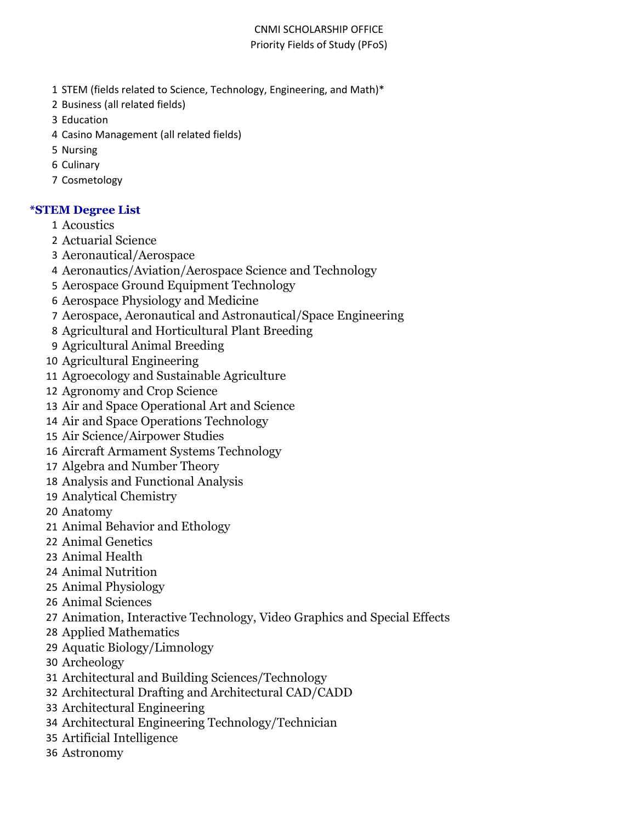- STEM (fields related to Science, Technology, Engineering, and Math)\*
- Business (all related fields)
- Education
- Casino Management (all related fields)
- Nursing
- Culinary
- Cosmetology

## **\*STEM Degree List**

- Acoustics
- Actuarial Science
- Aeronautical/Aerospace
- Aeronautics/Aviation/Aerospace Science and Technology
- Aerospace Ground Equipment Technology
- Aerospace Physiology and Medicine
- Aerospace, Aeronautical and Astronautical/Space Engineering
- Agricultural and Horticultural Plant Breeding
- Agricultural Animal Breeding
- Agricultural Engineering
- Agroecology and Sustainable Agriculture
- Agronomy and Crop Science
- Air and Space Operational Art and Science
- Air and Space Operations Technology
- Air Science/Airpower Studies
- Aircraft Armament Systems Technology
- Algebra and Number Theory
- Analysis and Functional Analysis
- Analytical Chemistry
- Anatomy
- Animal Behavior and Ethology
- Animal Genetics
- Animal Health
- Animal Nutrition
- Animal Physiology
- Animal Sciences
- Animation, Interactive Technology, Video Graphics and Special Effects
- Applied Mathematics
- Aquatic Biology/Limnology
- Archeology
- Architectural and Building Sciences/Technology
- Architectural Drafting and Architectural CAD/CADD
- Architectural Engineering
- Architectural Engineering Technology/Technician
- Artificial Intelligence
- Astronomy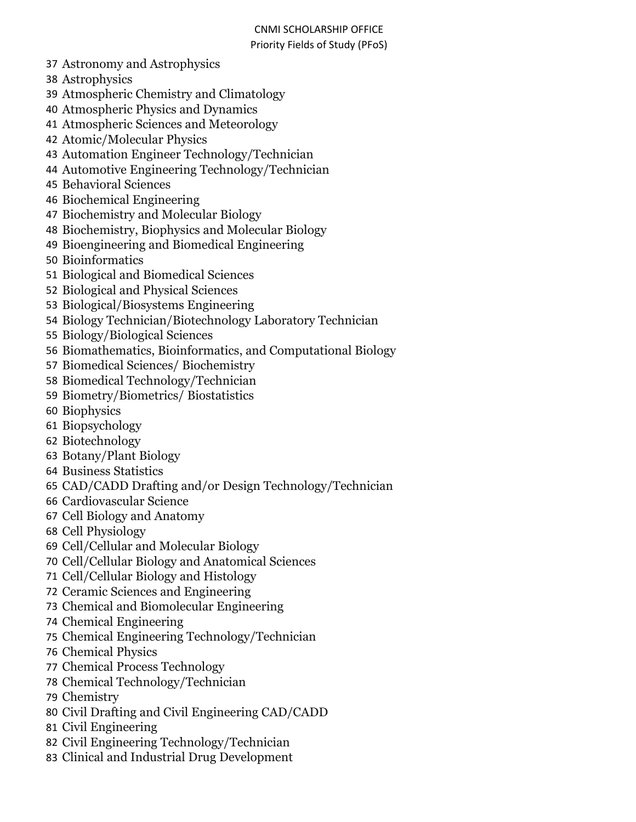- Astronomy and Astrophysics
- Astrophysics
- Atmospheric Chemistry and Climatology
- Atmospheric Physics and Dynamics
- Atmospheric Sciences and Meteorology
- Atomic/Molecular Physics
- Automation Engineer Technology/Technician
- Automotive Engineering Technology/Technician
- Behavioral Sciences
- Biochemical Engineering
- Biochemistry and Molecular Biology
- Biochemistry, Biophysics and Molecular Biology
- Bioengineering and Biomedical Engineering
- Bioinformatics
- Biological and Biomedical Sciences
- Biological and Physical Sciences
- Biological/Biosystems Engineering
- Biology Technician/Biotechnology Laboratory Technician
- Biology/Biological Sciences
- Biomathematics, Bioinformatics, and Computational Biology
- Biomedical Sciences/ Biochemistry
- Biomedical Technology/Technician
- Biometry/Biometrics/ Biostatistics
- Biophysics
- Biopsychology
- Biotechnology
- Botany/Plant Biology
- Business Statistics
- CAD/CADD Drafting and/or Design Technology/Technician
- Cardiovascular Science
- Cell Biology and Anatomy
- Cell Physiology
- Cell/Cellular and Molecular Biology
- Cell/Cellular Biology and Anatomical Sciences
- Cell/Cellular Biology and Histology
- Ceramic Sciences and Engineering
- Chemical and Biomolecular Engineering
- Chemical Engineering
- Chemical Engineering Technology/Technician
- Chemical Physics
- Chemical Process Technology
- Chemical Technology/Technician
- Chemistry
- Civil Drafting and Civil Engineering CAD/CADD
- Civil Engineering
- Civil Engineering Technology/Technician
- Clinical and Industrial Drug Development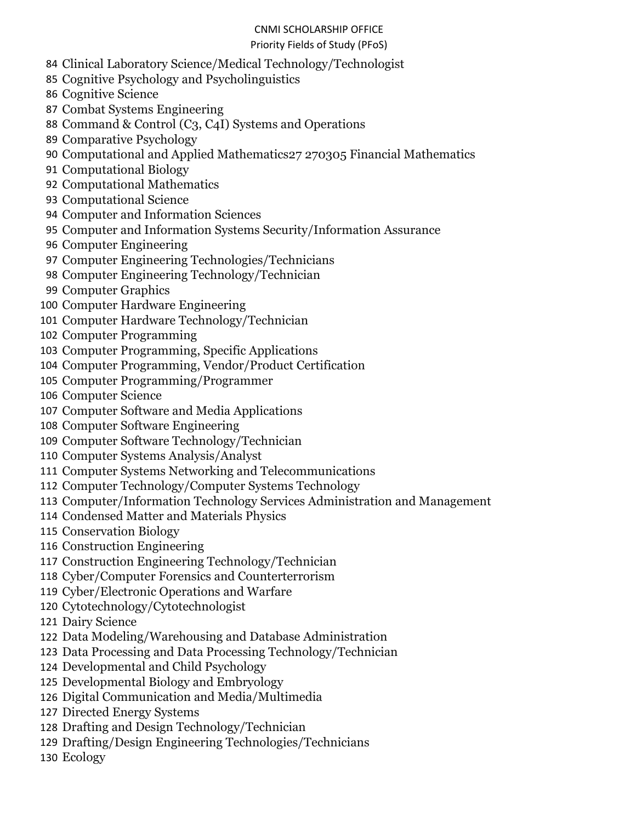## CNMI SCHOLARSHIP OFFICE

## Priority Fields of Study (PFoS)

- Clinical Laboratory Science/Medical Technology/Technologist
- Cognitive Psychology and Psycholinguistics
- Cognitive Science
- Combat Systems Engineering
- Command & Control (C3, C4I) Systems and Operations
- Comparative Psychology
- Computational and Applied Mathematics27 270305 Financial Mathematics
- Computational Biology
- Computational Mathematics
- Computational Science
- Computer and Information Sciences
- Computer and Information Systems Security/Information Assurance
- Computer Engineering
- Computer Engineering Technologies/Technicians
- Computer Engineering Technology/Technician
- Computer Graphics
- Computer Hardware Engineering
- Computer Hardware Technology/Technician
- Computer Programming
- Computer Programming, Specific Applications
- Computer Programming, Vendor/Product Certification
- Computer Programming/Programmer
- Computer Science
- Computer Software and Media Applications
- Computer Software Engineering
- Computer Software Technology/Technician
- Computer Systems Analysis/Analyst
- Computer Systems Networking and Telecommunications
- Computer Technology/Computer Systems Technology
- Computer/Information Technology Services Administration and Management
- Condensed Matter and Materials Physics
- Conservation Biology
- Construction Engineering
- Construction Engineering Technology/Technician
- Cyber/Computer Forensics and Counterterrorism
- Cyber/Electronic Operations and Warfare
- Cytotechnology/Cytotechnologist
- Dairy Science
- Data Modeling/Warehousing and Database Administration
- Data Processing and Data Processing Technology/Technician
- Developmental and Child Psychology
- Developmental Biology and Embryology
- Digital Communication and Media/Multimedia
- Directed Energy Systems
- Drafting and Design Technology/Technician
- Drafting/Design Engineering Technologies/Technicians
- Ecology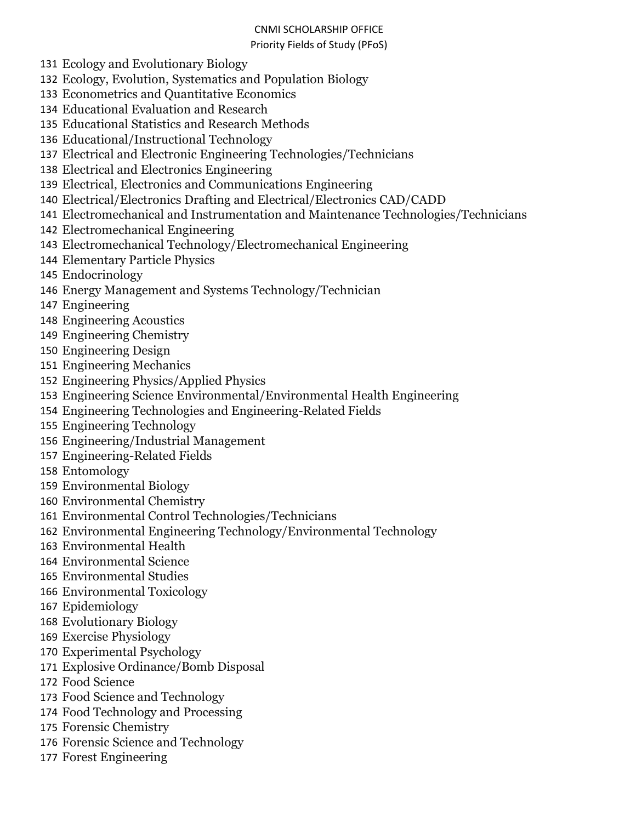## CNMI SCHOLARSHIP OFFICE

#### Priority Fields of Study (PFoS)

- Ecology and Evolutionary Biology
- Ecology, Evolution, Systematics and Population Biology
- Econometrics and Quantitative Economics
- Educational Evaluation and Research
- Educational Statistics and Research Methods
- Educational/Instructional Technology
- Electrical and Electronic Engineering Technologies/Technicians
- Electrical and Electronics Engineering
- Electrical, Electronics and Communications Engineering
- Electrical/Electronics Drafting and Electrical/Electronics CAD/CADD
- Electromechanical and Instrumentation and Maintenance Technologies/Technicians
- Electromechanical Engineering
- Electromechanical Technology/Electromechanical Engineering
- Elementary Particle Physics
- Endocrinology
- Energy Management and Systems Technology/Technician
- Engineering
- Engineering Acoustics
- Engineering Chemistry
- Engineering Design
- Engineering Mechanics
- Engineering Physics/Applied Physics
- Engineering Science Environmental/Environmental Health Engineering
- Engineering Technologies and Engineering-Related Fields
- Engineering Technology
- Engineering/Industrial Management
- Engineering-Related Fields
- Entomology
- Environmental Biology
- Environmental Chemistry
- Environmental Control Technologies/Technicians
- Environmental Engineering Technology/Environmental Technology
- Environmental Health
- Environmental Science
- Environmental Studies
- Environmental Toxicology
- Epidemiology
- Evolutionary Biology
- Exercise Physiology
- Experimental Psychology
- Explosive Ordinance/Bomb Disposal
- Food Science
- Food Science and Technology
- Food Technology and Processing
- Forensic Chemistry
- Forensic Science and Technology
- Forest Engineering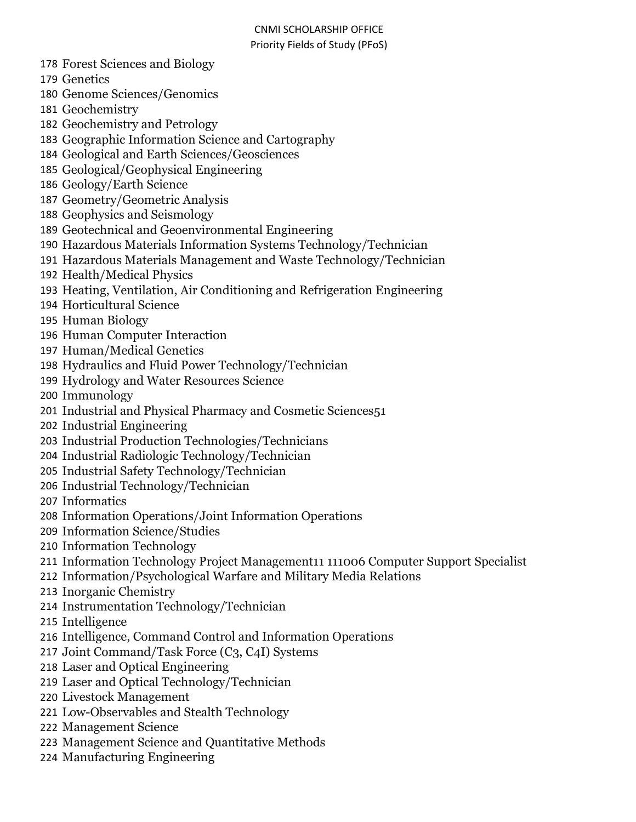- Forest Sciences and Biology
- Genetics
- Genome Sciences/Genomics
- Geochemistry
- Geochemistry and Petrology
- Geographic Information Science and Cartography
- Geological and Earth Sciences/Geosciences
- Geological/Geophysical Engineering
- Geology/Earth Science
- Geometry/Geometric Analysis
- Geophysics and Seismology
- Geotechnical and Geoenvironmental Engineering
- Hazardous Materials Information Systems Technology/Technician
- Hazardous Materials Management and Waste Technology/Technician
- Health/Medical Physics
- Heating, Ventilation, Air Conditioning and Refrigeration Engineering
- Horticultural Science
- Human Biology
- Human Computer Interaction
- Human/Medical Genetics
- Hydraulics and Fluid Power Technology/Technician
- Hydrology and Water Resources Science
- Immunology
- Industrial and Physical Pharmacy and Cosmetic Sciences51
- Industrial Engineering
- Industrial Production Technologies/Technicians
- Industrial Radiologic Technology/Technician
- Industrial Safety Technology/Technician
- Industrial Technology/Technician
- Informatics
- Information Operations/Joint Information Operations
- Information Science/Studies
- Information Technology
- Information Technology Project Management11 111006 Computer Support Specialist
- Information/Psychological Warfare and Military Media Relations
- Inorganic Chemistry
- Instrumentation Technology/Technician
- Intelligence
- Intelligence, Command Control and Information Operations
- Joint Command/Task Force (C3, C4I) Systems
- Laser and Optical Engineering
- Laser and Optical Technology/Technician
- Livestock Management
- Low-Observables and Stealth Technology
- Management Science
- Management Science and Quantitative Methods
- Manufacturing Engineering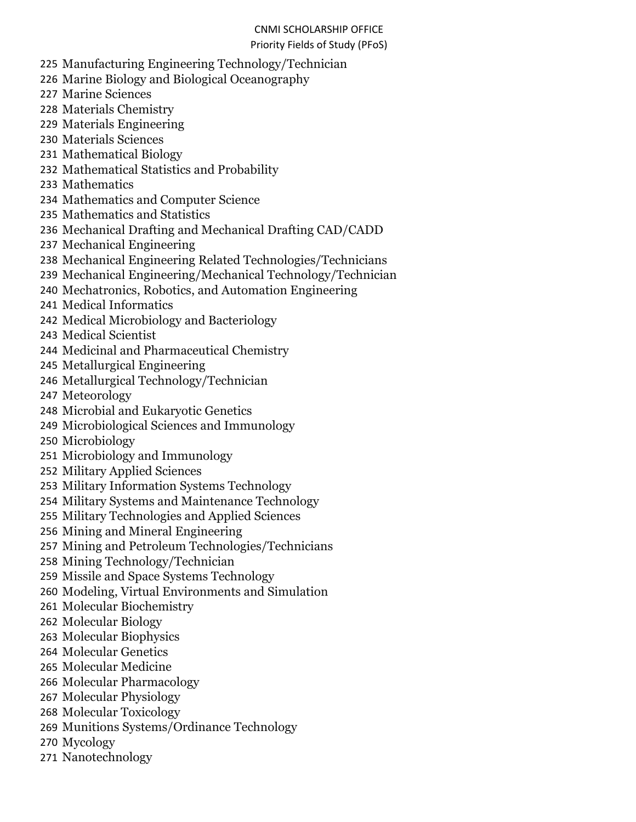- Manufacturing Engineering Technology/Technician
- Marine Biology and Biological Oceanography
- Marine Sciences
- Materials Chemistry
- Materials Engineering
- Materials Sciences
- Mathematical Biology
- Mathematical Statistics and Probability
- Mathematics
- Mathematics and Computer Science
- Mathematics and Statistics
- Mechanical Drafting and Mechanical Drafting CAD/CADD
- Mechanical Engineering
- Mechanical Engineering Related Technologies/Technicians
- Mechanical Engineering/Mechanical Technology/Technician
- Mechatronics, Robotics, and Automation Engineering
- Medical Informatics
- Medical Microbiology and Bacteriology
- Medical Scientist
- Medicinal and Pharmaceutical Chemistry
- Metallurgical Engineering
- Metallurgical Technology/Technician
- Meteorology
- Microbial and Eukaryotic Genetics
- Microbiological Sciences and Immunology
- Microbiology
- Microbiology and Immunology
- Military Applied Sciences
- Military Information Systems Technology
- Military Systems and Maintenance Technology
- Military Technologies and Applied Sciences
- Mining and Mineral Engineering
- Mining and Petroleum Technologies/Technicians
- Mining Technology/Technician
- Missile and Space Systems Technology
- Modeling, Virtual Environments and Simulation
- Molecular Biochemistry
- Molecular Biology
- Molecular Biophysics
- Molecular Genetics
- Molecular Medicine
- Molecular Pharmacology
- Molecular Physiology
- Molecular Toxicology
- Munitions Systems/Ordinance Technology
- Mycology
- Nanotechnology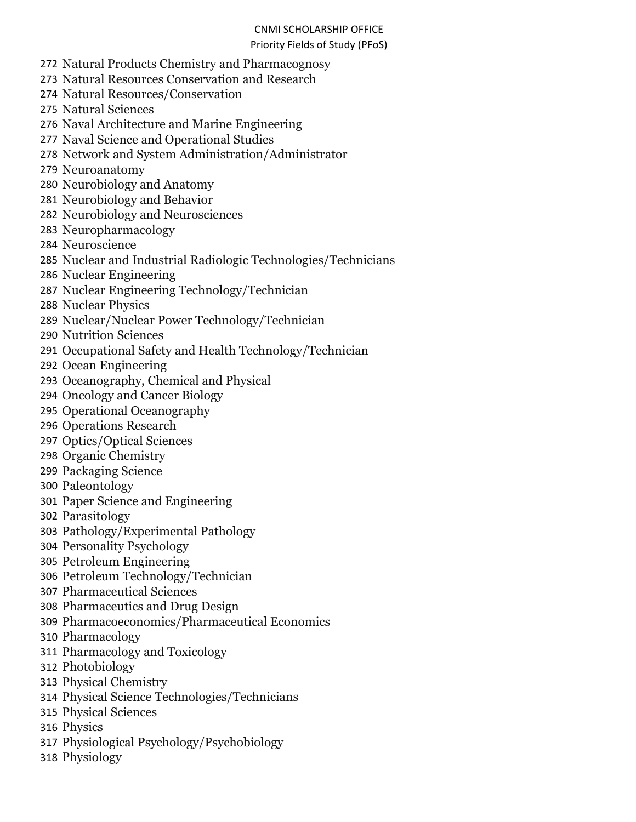- Natural Products Chemistry and Pharmacognosy
- Natural Resources Conservation and Research
- Natural Resources/Conservation
- Natural Sciences
- Naval Architecture and Marine Engineering
- Naval Science and Operational Studies
- Network and System Administration/Administrator
- Neuroanatomy
- Neurobiology and Anatomy
- Neurobiology and Behavior
- Neurobiology and Neurosciences
- Neuropharmacology
- Neuroscience
- Nuclear and Industrial Radiologic Technologies/Technicians
- Nuclear Engineering
- Nuclear Engineering Technology/Technician
- Nuclear Physics
- Nuclear/Nuclear Power Technology/Technician
- Nutrition Sciences
- Occupational Safety and Health Technology/Technician
- Ocean Engineering
- Oceanography, Chemical and Physical
- Oncology and Cancer Biology
- Operational Oceanography
- Operations Research
- Optics/Optical Sciences
- Organic Chemistry
- Packaging Science
- Paleontology
- Paper Science and Engineering
- Parasitology
- Pathology/Experimental Pathology
- Personality Psychology
- Petroleum Engineering
- Petroleum Technology/Technician
- Pharmaceutical Sciences
- Pharmaceutics and Drug Design
- Pharmacoeconomics/Pharmaceutical Economics
- Pharmacology
- Pharmacology and Toxicology
- Photobiology
- Physical Chemistry
- Physical Science Technologies/Technicians
- Physical Sciences
- Physics
- Physiological Psychology/Psychobiology
- Physiology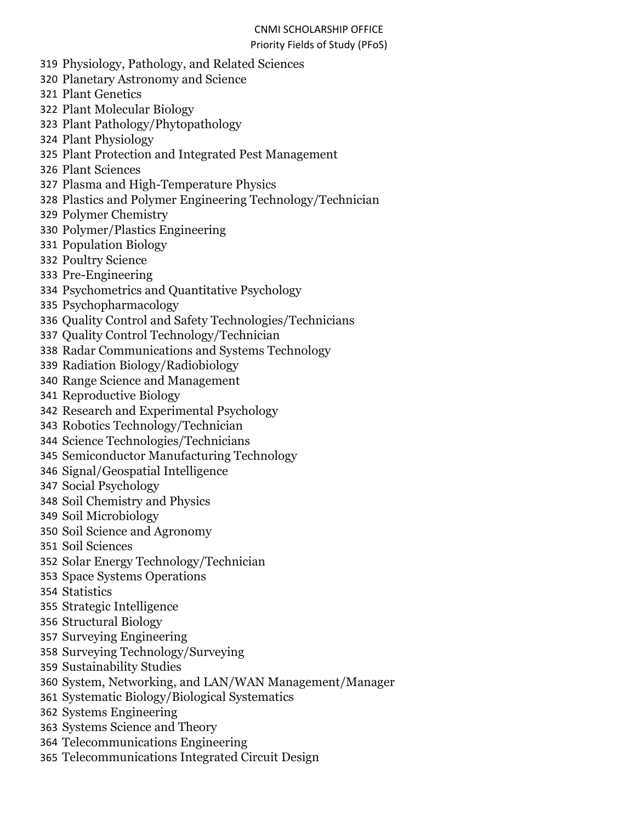# CNMI SCHOLARSHIP OFFICE

#### Priority Fields of Study (PFoS)

- Physiology, Pathology, and Related Sciences
- Planetary Astronomy and Science

Plant Genetics

- Plant Molecular Biology
- Plant Pathology/Phytopathology
- Plant Physiology
- Plant Protection and Integrated Pest Management
- Plant Sciences
- Plasma and High-Temperature Physics
- Plastics and Polymer Engineering Technology/Technician
- Polymer Chemistry
- Polymer/Plastics Engineering
- Population Biology
- Poultry Science
- Pre-Engineering
- Psychometrics and Quantitative Psychology
- Psychopharmacology
- Quality Control and Safety Technologies/Technicians
- Quality Control Technology/Technician
- Radar Communications and Systems Technology
- Radiation Biology/Radiobiology
- Range Science and Management
- Reproductive Biology
- Research and Experimental Psychology
- Robotics Technology/Technician
- Science Technologies/Technicians
- Semiconductor Manufacturing Technology
- Signal/Geospatial Intelligence
- Social Psychology
- Soil Chemistry and Physics
- Soil Microbiology
- Soil Science and Agronomy
- Soil Sciences
- Solar Energy Technology/Technician
- Space Systems Operations
- Statistics
- Strategic Intelligence
- Structural Biology
- Surveying Engineering
- Surveying Technology/Surveying
- Sustainability Studies
- System, Networking, and LAN/WAN Management/Manager
- Systematic Biology/Biological Systematics
- Systems Engineering
- Systems Science and Theory
- Telecommunications Engineering
- Telecommunications Integrated Circuit Design